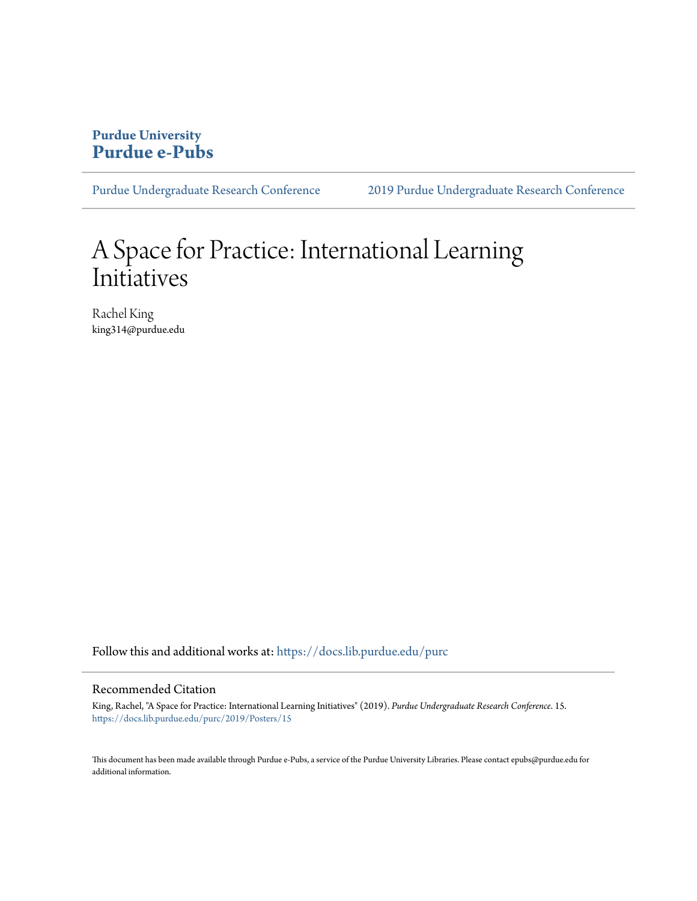## **Purdue University [Purdue e-Pubs](https://docs.lib.purdue.edu?utm_source=docs.lib.purdue.edu%2Fpurc%2F2019%2FPosters%2F15&utm_medium=PDF&utm_campaign=PDFCoverPages)**

[Purdue Undergraduate Research Conference](https://docs.lib.purdue.edu/purc?utm_source=docs.lib.purdue.edu%2Fpurc%2F2019%2FPosters%2F15&utm_medium=PDF&utm_campaign=PDFCoverPages) [2019 Purdue Undergraduate Research Conference](https://docs.lib.purdue.edu/purc/2019?utm_source=docs.lib.purdue.edu%2Fpurc%2F2019%2FPosters%2F15&utm_medium=PDF&utm_campaign=PDFCoverPages)

## A Space for Practice: International Learning Initiatives

Rachel King king314@purdue.edu

Follow this and additional works at: [https://docs.lib.purdue.edu/purc](https://docs.lib.purdue.edu/purc?utm_source=docs.lib.purdue.edu%2Fpurc%2F2019%2FPosters%2F15&utm_medium=PDF&utm_campaign=PDFCoverPages)

### Recommended Citation

King, Rachel, "A Space for Practice: International Learning Initiatives" (2019). *Purdue Undergraduate Research Conference*. 15. [https://docs.lib.purdue.edu/purc/2019/Posters/15](https://docs.lib.purdue.edu/purc/2019/Posters/15?utm_source=docs.lib.purdue.edu%2Fpurc%2F2019%2FPosters%2F15&utm_medium=PDF&utm_campaign=PDFCoverPages)

This document has been made available through Purdue e-Pubs, a service of the Purdue University Libraries. Please contact epubs@purdue.edu for additional information.